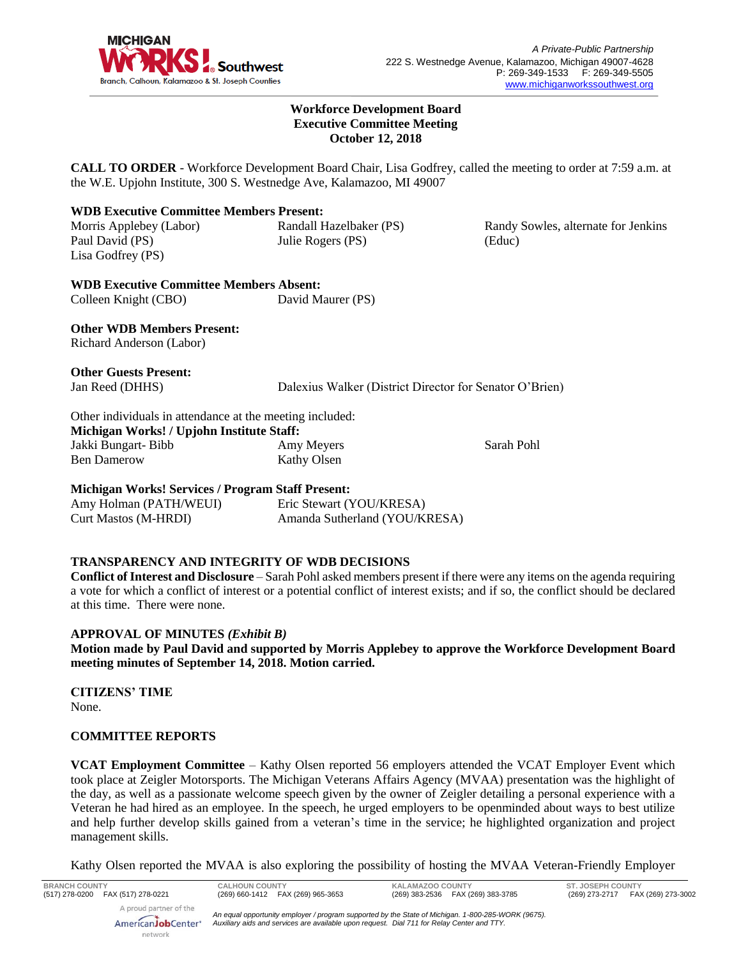

Randy Sowles, alternate for Jenkins

#### **Workforce Development Board Executive Committee Meeting October 12, 2018**

**CALL TO ORDER** - Workforce Development Board Chair, Lisa Godfrey, called the meeting to order at 7:59 a.m. at the W.E. Upjohn Institute, 300 S. Westnedge Ave, Kalamazoo, MI 49007

## **WDB Executive Committee Members Present:**

Morris Applebey (Labor) Paul David (PS) Lisa Godfrey (PS) Randall Hazelbaker (PS) Julie Rogers (PS)

**WDB Executive Committee Members Absent:** Colleen Knight (CBO) David Maurer (PS)

**Other WDB Members Present:** Richard Anderson (Labor)

**Other Guests Present:**

Jan Reed (DHHS) Dalexius Walker (District Director for Senator O'Brien)

Other individuals in attendance at the meeting included: **Michigan Works! / Upjohn Institute Staff:** Jakki Bungart- Bibb Ben Damerow Amy Meyers Kathy Olsen

Sarah Pohl

(Educ)

## **Michigan Works! Services / Program Staff Present:**

Amy Holman (PATH/WEUI) Curt Mastos (M-HRDI)

Eric Stewart (YOU/KRESA) Amanda Sutherland (YOU/KRESA)

## **TRANSPARENCY AND INTEGRITY OF WDB DECISIONS**

**Conflict of Interest and Disclosure** – Sarah Pohl asked members present if there were any items on the agenda requiring a vote for which a conflict of interest or a potential conflict of interest exists; and if so, the conflict should be declared at this time. There were none.

## **APPROVAL OF MINUTES** *(Exhibit B)*

**Motion made by Paul David and supported by Morris Applebey to approve the Workforce Development Board meeting minutes of September 14, 2018. Motion carried.** 

**CITIZENS' TIME** None.

## **COMMITTEE REPORTS**

**VCAT Employment Committee** – Kathy Olsen reported 56 employers attended the VCAT Employer Event which took place at Zeigler Motorsports. The Michigan Veterans Affairs Agency (MVAA) presentation was the highlight of the day, as well as a passionate welcome speech given by the owner of Zeigler detailing a personal experience with a Veteran he had hired as an employee. In the speech, he urged employers to be openminded about ways to best utilize and help further develop skills gained from a veteran's time in the service; he highlighted organization and project management skills.

Kathy Olsen reported the MVAA is also exploring the possibility of hosting the MVAA Veteran-Friendly Employer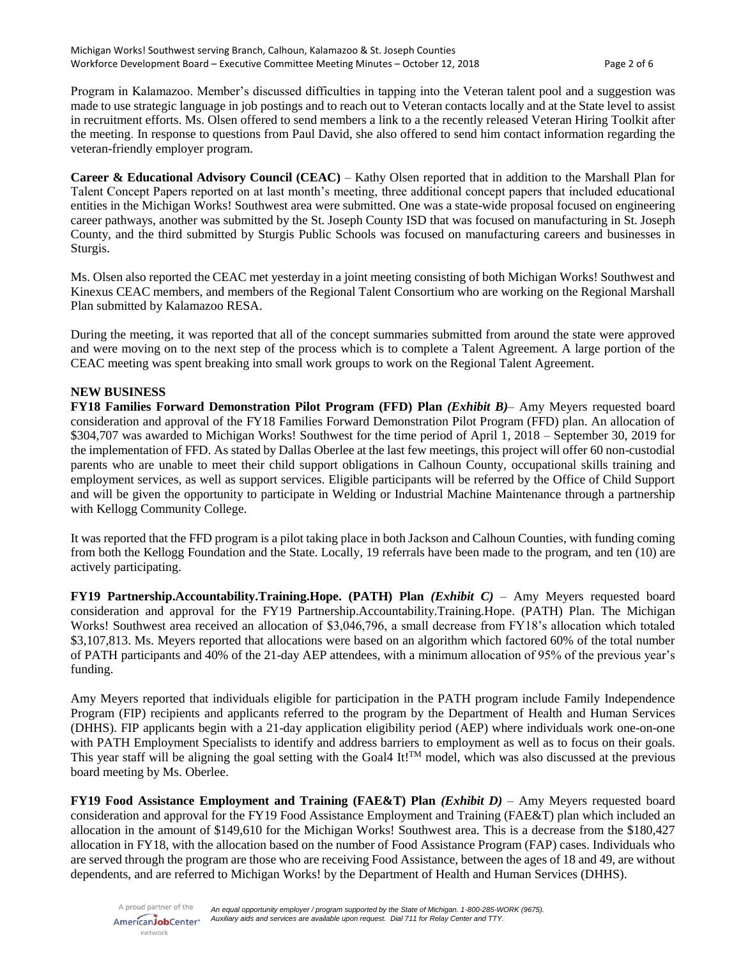Program in Kalamazoo. Member's discussed difficulties in tapping into the Veteran talent pool and a suggestion was made to use strategic language in job postings and to reach out to Veteran contacts locally and at the State level to assist in recruitment efforts. Ms. Olsen offered to send members a link to a the recently released Veteran Hiring Toolkit after the meeting. In response to questions from Paul David, she also offered to send him contact information regarding the veteran-friendly employer program.

**Career & Educational Advisory Council (CEAC)** – Kathy Olsen reported that in addition to the Marshall Plan for Talent Concept Papers reported on at last month's meeting, three additional concept papers that included educational entities in the Michigan Works! Southwest area were submitted. One was a state-wide proposal focused on engineering career pathways, another was submitted by the St. Joseph County ISD that was focused on manufacturing in St. Joseph County, and the third submitted by Sturgis Public Schools was focused on manufacturing careers and businesses in Sturgis.

Ms. Olsen also reported the CEAC met yesterday in a joint meeting consisting of both Michigan Works! Southwest and Kinexus CEAC members, and members of the Regional Talent Consortium who are working on the Regional Marshall Plan submitted by Kalamazoo RESA.

During the meeting, it was reported that all of the concept summaries submitted from around the state were approved and were moving on to the next step of the process which is to complete a Talent Agreement. A large portion of the CEAC meeting was spent breaking into small work groups to work on the Regional Talent Agreement.

#### **NEW BUSINESS**

**FY18 Families Forward Demonstration Pilot Program (FFD) Plan** *(Exhibit B)*– Amy Meyers requested board consideration and approval of the FY18 Families Forward Demonstration Pilot Program (FFD) plan. An allocation of \$304,707 was awarded to Michigan Works! Southwest for the time period of April 1, 2018 – September 30, 2019 for the implementation of FFD. As stated by Dallas Oberlee at the last few meetings, this project will offer 60 non-custodial parents who are unable to meet their child support obligations in Calhoun County, occupational skills training and employment services, as well as support services. Eligible participants will be referred by the Office of Child Support and will be given the opportunity to participate in Welding or Industrial Machine Maintenance through a partnership with Kellogg Community College.

It was reported that the FFD program is a pilot taking place in both Jackson and Calhoun Counties, with funding coming from both the Kellogg Foundation and the State. Locally, 19 referrals have been made to the program, and ten (10) are actively participating.

**FY19 Partnership.Accountability.Training.Hope. (PATH) Plan** *(Exhibit C)* – Amy Meyers requested board consideration and approval for the FY19 Partnership.Accountability.Training.Hope. (PATH) Plan. The Michigan Works! Southwest area received an allocation of \$3,046,796, a small decrease from FY18's allocation which totaled \$3,107,813. Ms. Meyers reported that allocations were based on an algorithm which factored 60% of the total number of PATH participants and 40% of the 21-day AEP attendees, with a minimum allocation of 95% of the previous year's funding.

Amy Meyers reported that individuals eligible for participation in the PATH program include Family Independence Program (FIP) recipients and applicants referred to the program by the Department of Health and Human Services (DHHS). FIP applicants begin with a 21-day application eligibility period (AEP) where individuals work one-on-one with PATH Employment Specialists to identify and address barriers to employment as well as to focus on their goals. This year staff will be aligning the goal setting with the Goal4 It!<sup>TM</sup> model, which was also discussed at the previous board meeting by Ms. Oberlee.

**FY19 Food Assistance Employment and Training (FAE&T) Plan** *(Exhibit D)* – Amy Meyers requested board consideration and approval for the FY19 Food Assistance Employment and Training (FAE&T) plan which included an allocation in the amount of \$149,610 for the Michigan Works! Southwest area. This is a decrease from the \$180,427 allocation in FY18, with the allocation based on the number of Food Assistance Program (FAP) cases. Individuals who are served through the program are those who are receiving Food Assistance, between the ages of 18 and 49, are without dependents, and are referred to Michigan Works! by the Department of Health and Human Services (DHHS).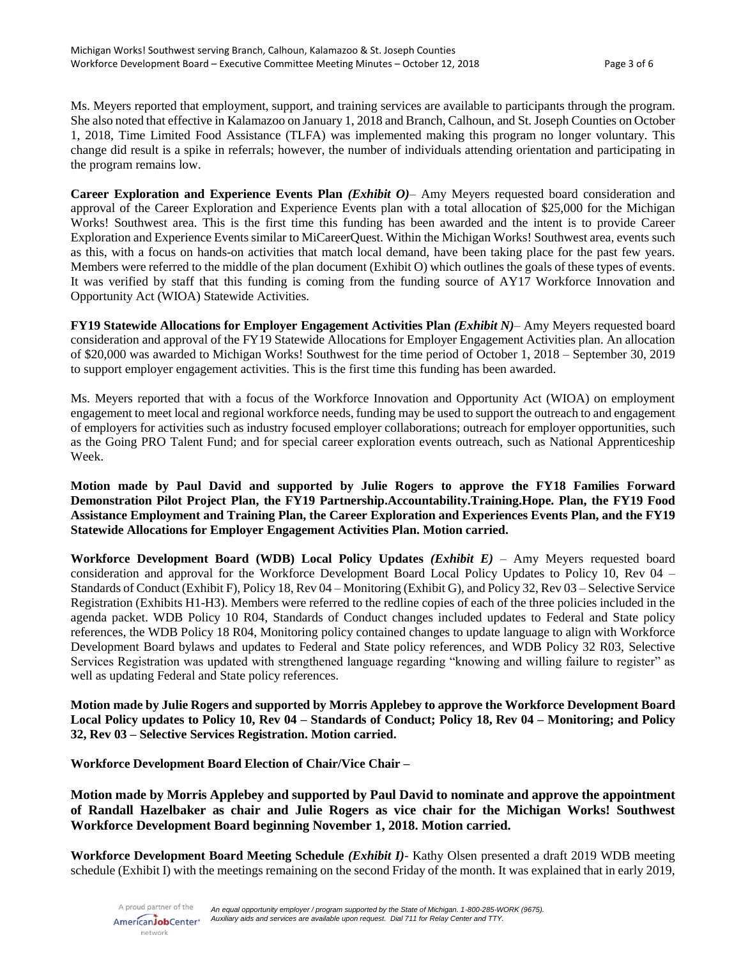Ms. Meyers reported that employment, support, and training services are available to participants through the program. She also noted that effective in Kalamazoo on January 1, 2018 and Branch, Calhoun, and St. Joseph Counties on October 1, 2018, Time Limited Food Assistance (TLFA) was implemented making this program no longer voluntary. This change did result is a spike in referrals; however, the number of individuals attending orientation and participating in the program remains low.

**Career Exploration and Experience Events Plan** *(Exhibit O)*– Amy Meyers requested board consideration and approval of the Career Exploration and Experience Events plan with a total allocation of \$25,000 for the Michigan Works! Southwest area. This is the first time this funding has been awarded and the intent is to provide Career Exploration and Experience Events similar to MiCareerQuest. Within the Michigan Works! Southwest area, events such as this, with a focus on hands-on activities that match local demand, have been taking place for the past few years. Members were referred to the middle of the plan document (Exhibit O) which outlines the goals of these types of events. It was verified by staff that this funding is coming from the funding source of AY17 Workforce Innovation and Opportunity Act (WIOA) Statewide Activities.

**FY19 Statewide Allocations for Employer Engagement Activities Plan** *(Exhibit N)*– Amy Meyers requested board consideration and approval of the FY19 Statewide Allocations for Employer Engagement Activities plan. An allocation of \$20,000 was awarded to Michigan Works! Southwest for the time period of October 1, 2018 – September 30, 2019 to support employer engagement activities. This is the first time this funding has been awarded.

Ms. Meyers reported that with a focus of the Workforce Innovation and Opportunity Act (WIOA) on employment engagement to meet local and regional workforce needs, funding may be used to support the outreach to and engagement of employers for activities such as industry focused employer collaborations; outreach for employer opportunities, such as the Going PRO Talent Fund; and for special career exploration events outreach, such as National Apprenticeship Week.

**Motion made by Paul David and supported by Julie Rogers to approve the FY18 Families Forward Demonstration Pilot Project Plan, the FY19 Partnership.Accountability.Training.Hope. Plan, the FY19 Food Assistance Employment and Training Plan, the Career Exploration and Experiences Events Plan, and the FY19 Statewide Allocations for Employer Engagement Activities Plan. Motion carried.**

**Workforce Development Board (WDB) Local Policy Updates** *(Exhibit E)* – Amy Meyers requested board consideration and approval for the Workforce Development Board Local Policy Updates to Policy 10, Rev 04 – Standards of Conduct (Exhibit F), Policy 18, Rev 04 – Monitoring (Exhibit G), and Policy 32, Rev 03 – Selective Service Registration (Exhibits H1-H3). Members were referred to the redline copies of each of the three policies included in the agenda packet. WDB Policy 10 R04, Standards of Conduct changes included updates to Federal and State policy references, the WDB Policy 18 R04, Monitoring policy contained changes to update language to align with Workforce Development Board bylaws and updates to Federal and State policy references, and WDB Policy 32 R03, Selective Services Registration was updated with strengthened language regarding "knowing and willing failure to register" as well as updating Federal and State policy references.

**Motion made by Julie Rogers and supported by Morris Applebey to approve the Workforce Development Board Local Policy updates to Policy 10, Rev 04 – Standards of Conduct; Policy 18, Rev 04 – Monitoring; and Policy 32, Rev 03 – Selective Services Registration. Motion carried.**

**Workforce Development Board Election of Chair/Vice Chair –**

**Motion made by Morris Applebey and supported by Paul David to nominate and approve the appointment of Randall Hazelbaker as chair and Julie Rogers as vice chair for the Michigan Works! Southwest Workforce Development Board beginning November 1, 2018. Motion carried.**

**Workforce Development Board Meeting Schedule** *(Exhibit I)*- Kathy Olsen presented a draft 2019 WDB meeting schedule (Exhibit I) with the meetings remaining on the second Friday of the month. It was explained that in early 2019,

A proud partner of the AmericanJobCenter<sup>®</sup> network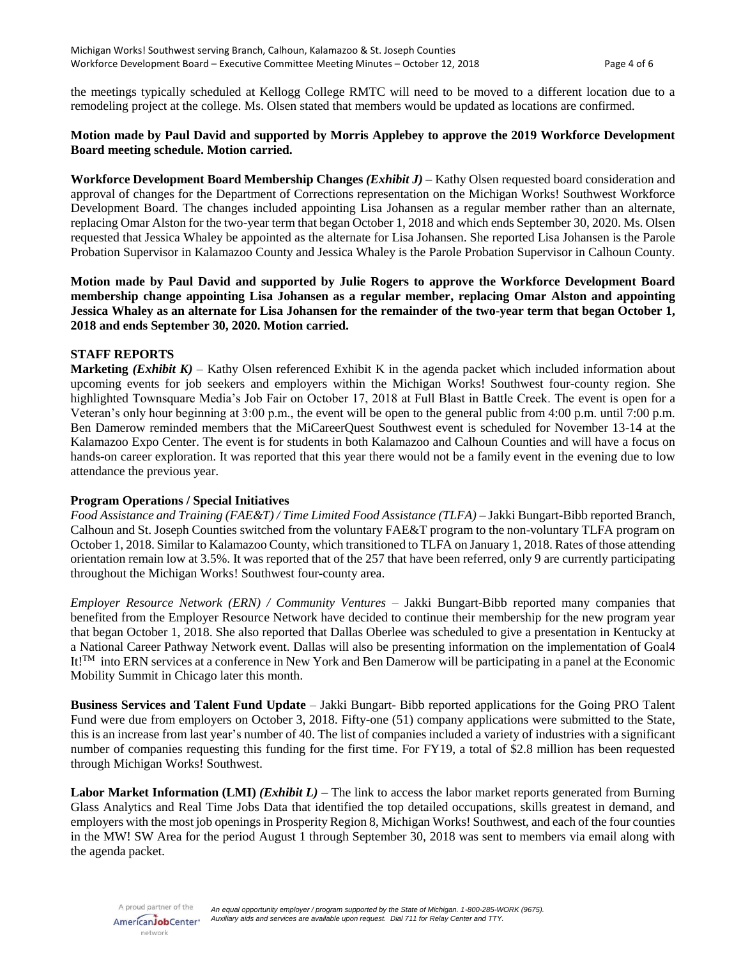the meetings typically scheduled at Kellogg College RMTC will need to be moved to a different location due to a remodeling project at the college. Ms. Olsen stated that members would be updated as locations are confirmed.

### **Motion made by Paul David and supported by Morris Applebey to approve the 2019 Workforce Development Board meeting schedule. Motion carried.**

**Workforce Development Board Membership Changes** *(Exhibit J)* – Kathy Olsen requested board consideration and approval of changes for the Department of Corrections representation on the Michigan Works! Southwest Workforce Development Board. The changes included appointing Lisa Johansen as a regular member rather than an alternate, replacing Omar Alston for the two-year term that began October 1, 2018 and which ends September 30, 2020. Ms. Olsen requested that Jessica Whaley be appointed as the alternate for Lisa Johansen. She reported Lisa Johansen is the Parole Probation Supervisor in Kalamazoo County and Jessica Whaley is the Parole Probation Supervisor in Calhoun County.

**Motion made by Paul David and supported by Julie Rogers to approve the Workforce Development Board membership change appointing Lisa Johansen as a regular member, replacing Omar Alston and appointing Jessica Whaley as an alternate for Lisa Johansen for the remainder of the two-year term that began October 1, 2018 and ends September 30, 2020. Motion carried.**

#### **STAFF REPORTS**

**Marketing** *(Exhibit K)* – Kathy Olsen referenced Exhibit K in the agenda packet which included information about upcoming events for job seekers and employers within the Michigan Works! Southwest four-county region. She highlighted Townsquare Media's Job Fair on October 17, 2018 at Full Blast in Battle Creek. The event is open for a Veteran's only hour beginning at 3:00 p.m., the event will be open to the general public from 4:00 p.m. until 7:00 p.m. Ben Damerow reminded members that the MiCareerQuest Southwest event is scheduled for November 13-14 at the Kalamazoo Expo Center. The event is for students in both Kalamazoo and Calhoun Counties and will have a focus on hands-on career exploration. It was reported that this year there would not be a family event in the evening due to low attendance the previous year.

#### **Program Operations / Special Initiatives**

*Food Assistance and Training (FAE&T) / Time Limited Food Assistance (TLFA) –* Jakki Bungart-Bibb reported Branch, Calhoun and St. Joseph Counties switched from the voluntary FAE&T program to the non-voluntary TLFA program on October 1, 2018. Similar to Kalamazoo County, which transitioned to TLFA on January 1, 2018. Rates of those attending orientation remain low at 3.5%. It was reported that of the 257 that have been referred, only 9 are currently participating throughout the Michigan Works! Southwest four-county area.

*Employer Resource Network (ERN) / Community Ventures* – Jakki Bungart-Bibb reported many companies that benefited from the Employer Resource Network have decided to continue their membership for the new program year that began October 1, 2018. She also reported that Dallas Oberlee was scheduled to give a presentation in Kentucky at a National Career Pathway Network event. Dallas will also be presenting information on the implementation of Goal4 It!<sup>™</sup> into ERN services at a conference in New York and Ben Damerow will be participating in a panel at the Economic Mobility Summit in Chicago later this month.

**Business Services and Talent Fund Update** – Jakki Bungart- Bibb reported applications for the Going PRO Talent Fund were due from employers on October 3, 2018. Fifty-one (51) company applications were submitted to the State, this is an increase from last year's number of 40. The list of companies included a variety of industries with a significant number of companies requesting this funding for the first time. For FY19, a total of \$2.8 million has been requested through Michigan Works! Southwest.

**Labor Market Information (LMI)** *(Exhibit L)* – The link to access the labor market reports generated from Burning Glass Analytics and Real Time Jobs Data that identified the top detailed occupations, skills greatest in demand, and employers with the most job openings in Prosperity Region 8, Michigan Works! Southwest, and each of the four counties in the MW! SW Area for the period August 1 through September 30, 2018 was sent to members via email along with the agenda packet.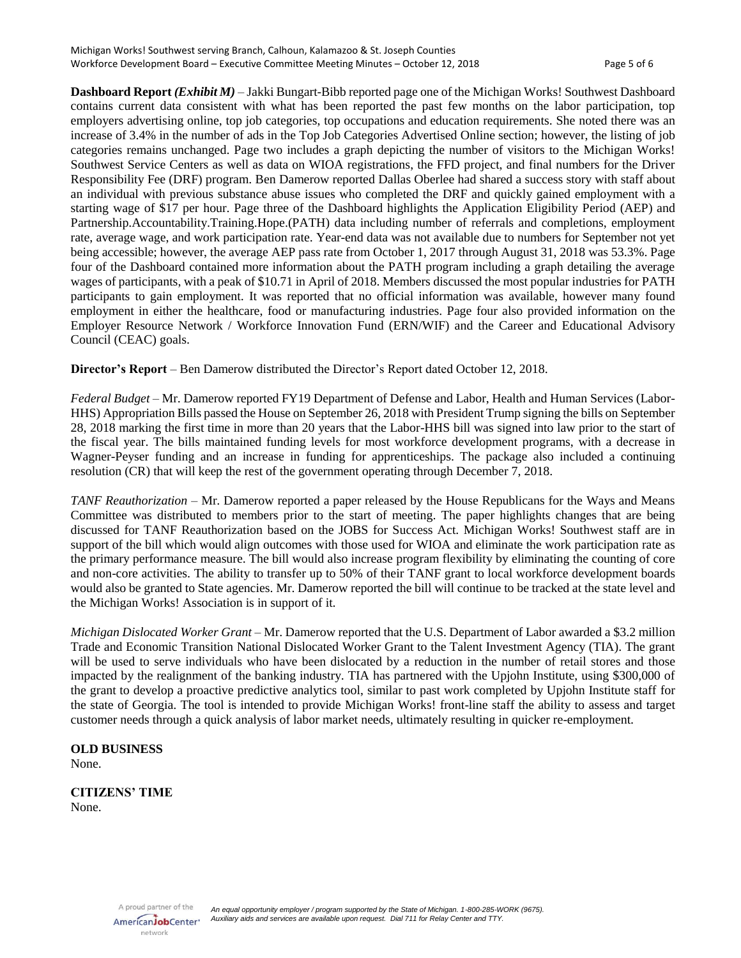**Dashboard Report** *(Exhibit M)* – Jakki Bungart-Bibb reported page one of the Michigan Works! Southwest Dashboard contains current data consistent with what has been reported the past few months on the labor participation, top employers advertising online, top job categories, top occupations and education requirements. She noted there was an increase of 3.4% in the number of ads in the Top Job Categories Advertised Online section; however, the listing of job categories remains unchanged. Page two includes a graph depicting the number of visitors to the Michigan Works! Southwest Service Centers as well as data on WIOA registrations, the FFD project, and final numbers for the Driver Responsibility Fee (DRF) program. Ben Damerow reported Dallas Oberlee had shared a success story with staff about an individual with previous substance abuse issues who completed the DRF and quickly gained employment with a starting wage of \$17 per hour. Page three of the Dashboard highlights the Application Eligibility Period (AEP) and Partnership.Accountability.Training.Hope.(PATH) data including number of referrals and completions, employment rate, average wage, and work participation rate. Year-end data was not available due to numbers for September not yet being accessible; however, the average AEP pass rate from October 1, 2017 through August 31, 2018 was 53.3%. Page four of the Dashboard contained more information about the PATH program including a graph detailing the average wages of participants, with a peak of \$10.71 in April of 2018. Members discussed the most popular industries for PATH participants to gain employment. It was reported that no official information was available, however many found employment in either the healthcare, food or manufacturing industries. Page four also provided information on the Employer Resource Network / Workforce Innovation Fund (ERN/WIF) and the Career and Educational Advisory Council (CEAC) goals.

**Director's Report** – Ben Damerow distributed the Director's Report dated October 12, 2018.

*Federal Budget –* Mr. Damerow reported FY19 Department of Defense and Labor, Health and Human Services (Labor-HHS) Appropriation Bills passed the House on September 26, 2018 with President Trump signing the bills on September 28, 2018 marking the first time in more than 20 years that the Labor-HHS bill was signed into law prior to the start of the fiscal year. The bills maintained funding levels for most workforce development programs, with a decrease in Wagner-Peyser funding and an increase in funding for apprenticeships. The package also included a continuing resolution (CR) that will keep the rest of the government operating through December 7, 2018.

*TANF Reauthorization –* Mr. Damerow reported a paper released by the House Republicans for the Ways and Means Committee was distributed to members prior to the start of meeting. The paper highlights changes that are being discussed for TANF Reauthorization based on the JOBS for Success Act. Michigan Works! Southwest staff are in support of the bill which would align outcomes with those used for WIOA and eliminate the work participation rate as the primary performance measure. The bill would also increase program flexibility by eliminating the counting of core and non-core activities. The ability to transfer up to 50% of their TANF grant to local workforce development boards would also be granted to State agencies. Mr. Damerow reported the bill will continue to be tracked at the state level and the Michigan Works! Association is in support of it.

*Michigan Dislocated Worker Grant –* Mr. Damerow reported that the U.S. Department of Labor awarded a \$3.2 million Trade and Economic Transition National Dislocated Worker Grant to the Talent Investment Agency (TIA). The grant will be used to serve individuals who have been dislocated by a reduction in the number of retail stores and those impacted by the realignment of the banking industry. TIA has partnered with the Upjohn Institute, using \$300,000 of the grant to develop a proactive predictive analytics tool, similar to past work completed by Upjohn Institute staff for the state of Georgia. The tool is intended to provide Michigan Works! front-line staff the ability to assess and target customer needs through a quick analysis of labor market needs, ultimately resulting in quicker re-employment.

# **OLD BUSINESS**

None.

#### **CITIZENS' TIME** None.